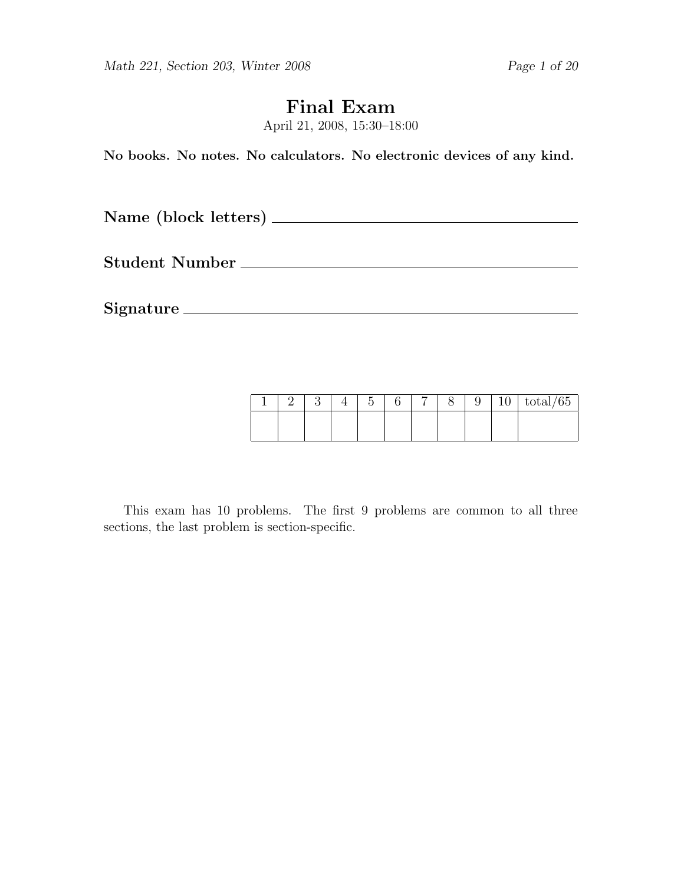# Final Exam

April 21, 2008, 15:30–18:00

No books. No notes. No calculators. No electronic devices of any kind.

Name (block letters)

Student Number

Signature

|  |  | $\tilde{}$ |  |  | τÓ | $\sqrt{2}$<br>t∪tar/ oo |
|--|--|------------|--|--|----|-------------------------|
|  |  |            |  |  |    |                         |
|  |  |            |  |  |    |                         |

This exam has 10 problems. The first 9 problems are common to all three sections, the last problem is section-specific.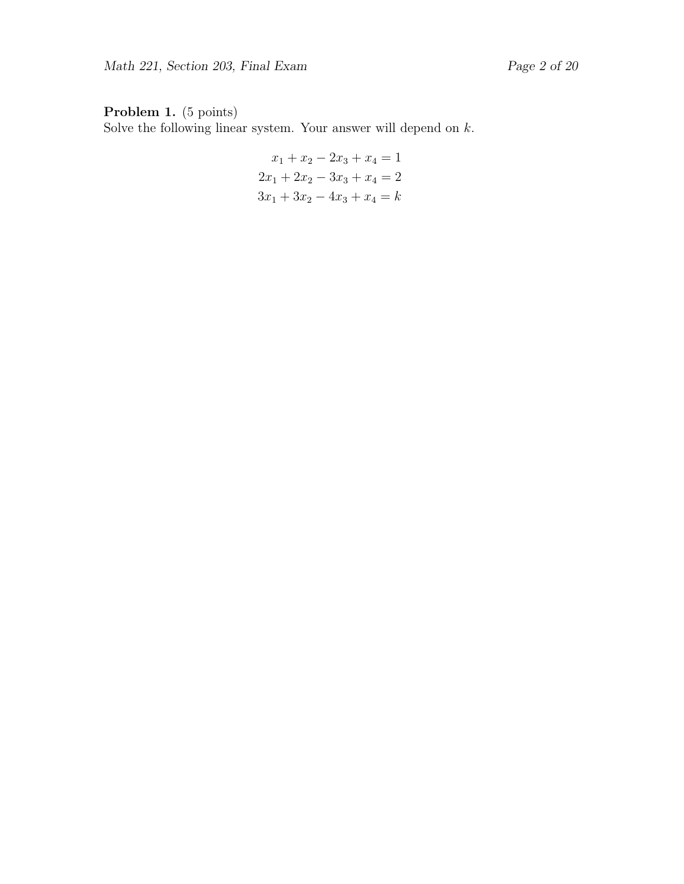### Problem 1. (5 points)

Solve the following linear system. Your answer will depend on  $k$ .

$$
x_1 + x_2 - 2x_3 + x_4 = 1
$$
  

$$
2x_1 + 2x_2 - 3x_3 + x_4 = 2
$$
  

$$
3x_1 + 3x_2 - 4x_3 + x_4 = k
$$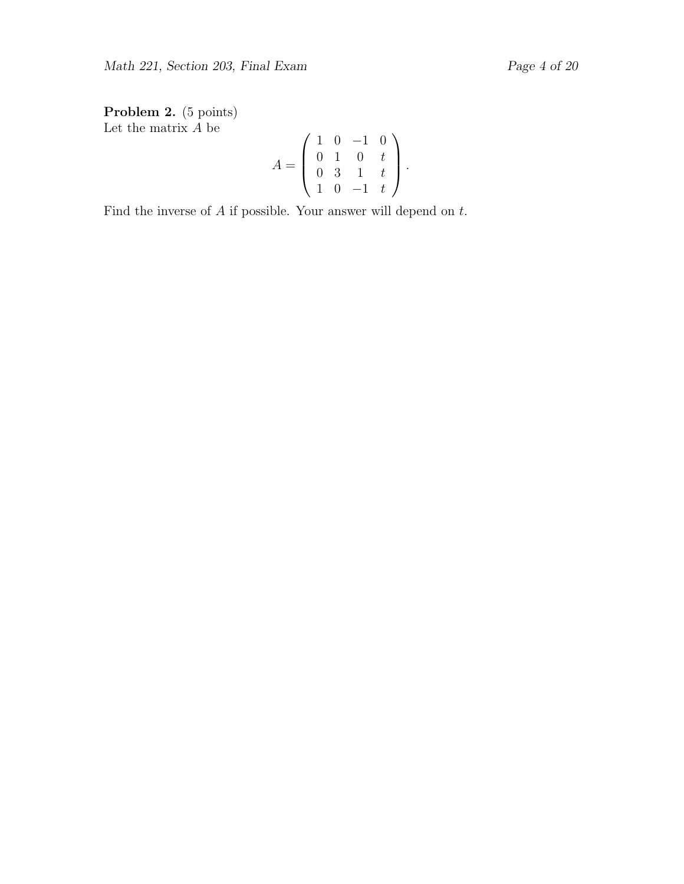Problem 2. (5 points) Let the matrix  $A$  be

$$
A = \left(\begin{array}{rrr} 1 & 0 & -1 & 0 \\ 0 & 1 & 0 & t \\ 0 & 3 & 1 & t \\ 1 & 0 & -1 & t \end{array}\right).
$$

Find the inverse of  $A$  if possible. Your answer will depend on  $t$ .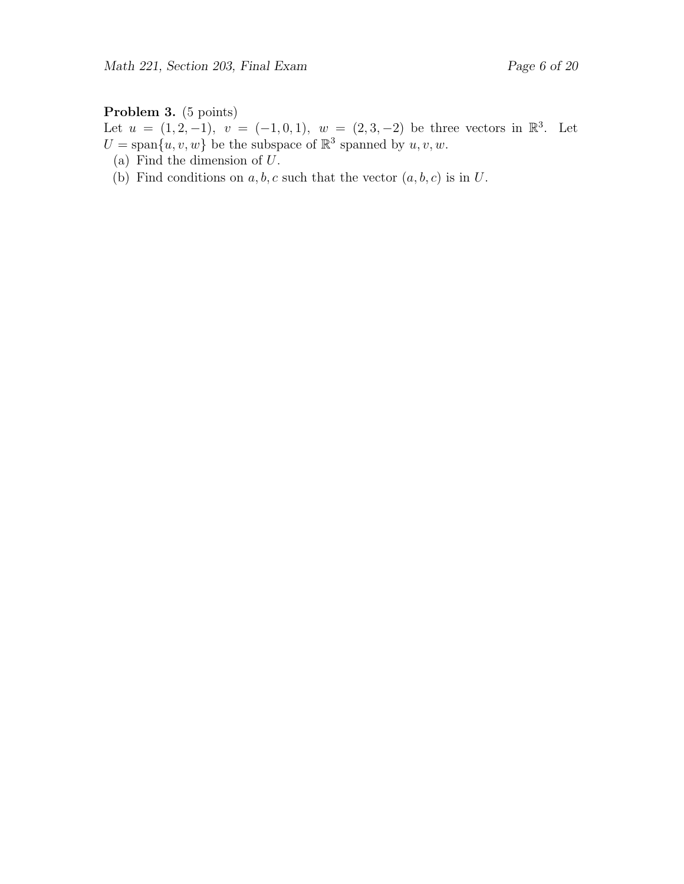### Problem 3. (5 points)

Let  $u = (1, 2, -1), v = (-1, 0, 1), w = (2, 3, -2)$  be three vectors in  $\mathbb{R}^3$ . Let  $U = \text{span}\{u, v, w\}$  be the subspace of  $\mathbb{R}^3$  spanned by  $u, v, w$ .

- (a) Find the dimension of U.
- (b) Find conditions on  $a, b, c$  such that the vector  $(a, b, c)$  is in U.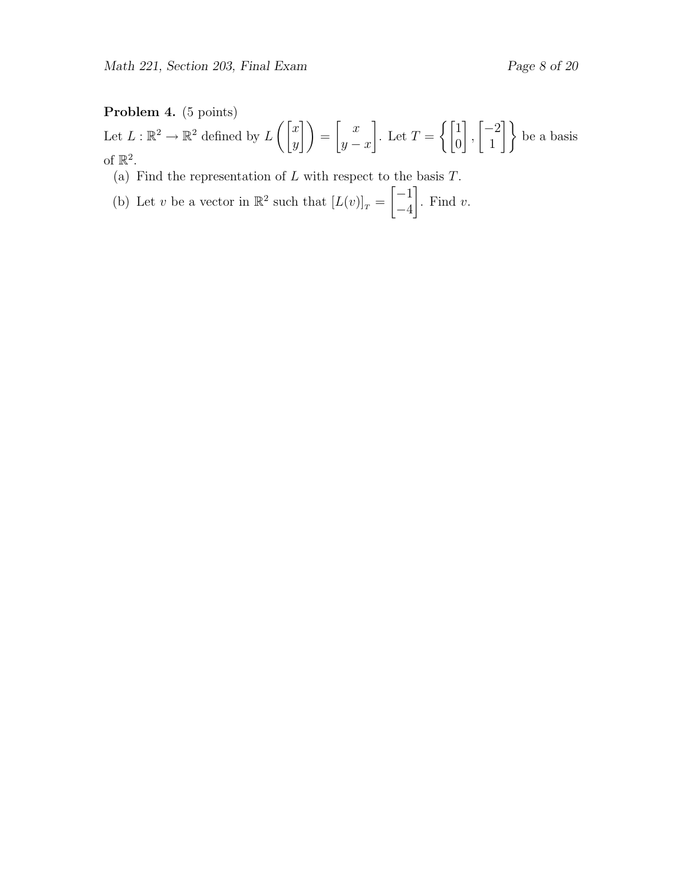### Problem 4. (5 points)

Let  $L : \mathbb{R}^2 \to \mathbb{R}^2$  defined by  $L\left(\begin{bmatrix} x \\ y \end{bmatrix}\right)$  $\begin{pmatrix} x \ y \end{pmatrix} = \begin{pmatrix} x \ y \end{pmatrix}$  $y - x$ 1 . Let  $T = \begin{cases} 1 & \text{if } \\ 0 & \text{otherwise.} \end{cases}$ 0 1 ,  $\lceil -2 \rceil$  $\begin{bmatrix} -2 \\ 1 \end{bmatrix}$  be a basis of  $\mathbb{R}^2$ .

- (a) Find the representation of  $L$  with respect to the basis  $T$ .
- (b) Let v be a vector in  $\mathbb{R}^2$  such that  $[L(v)]_T =$  $[-1]$ −4 1 . Find  $v$ .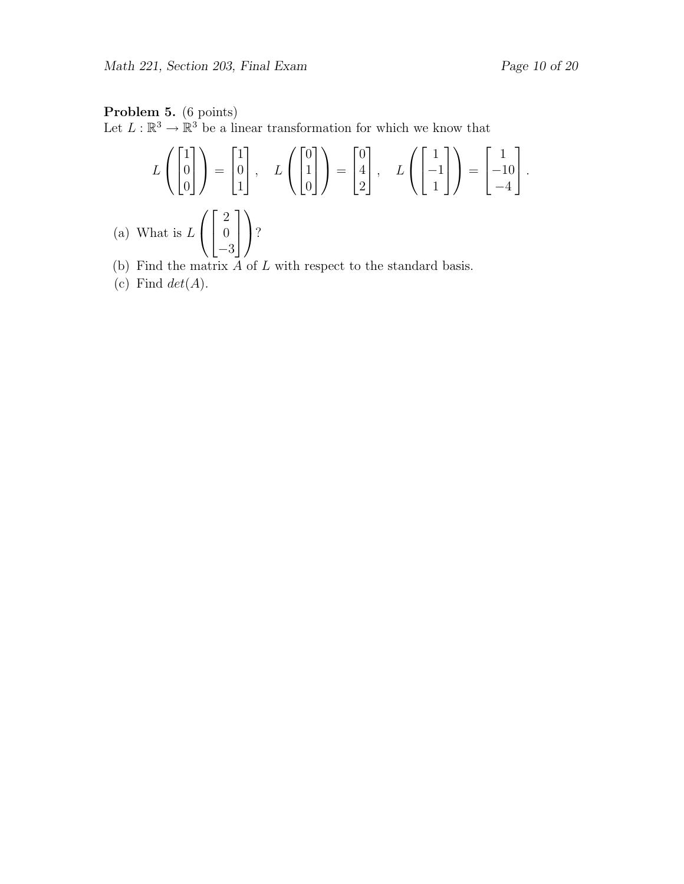## Problem 5. (6 points)

Let  $L : \mathbb{R}^3 \to \mathbb{R}^3$  be a linear transformation for which we know that

$$
L\left(\begin{bmatrix} 1 \\ 0 \\ 0 \end{bmatrix}\right) = \begin{bmatrix} 1 \\ 0 \\ 1 \end{bmatrix}, \quad L\left(\begin{bmatrix} 0 \\ 1 \\ 0 \end{bmatrix}\right) = \begin{bmatrix} 0 \\ 4 \\ 2 \end{bmatrix}, \quad L\left(\begin{bmatrix} 1 \\ -1 \\ 1 \end{bmatrix}\right) = \begin{bmatrix} 1 \\ -10 \\ -4 \end{bmatrix}.
$$
  
What is  $L\left(\begin{bmatrix} 2 \\ 0 \\ -3 \end{bmatrix}\right)$ ?

- (b) Find the matrix  $A$  of  $L$  with respect to the standard basis.
- (c) Find  $det(A)$ .

 $(a)$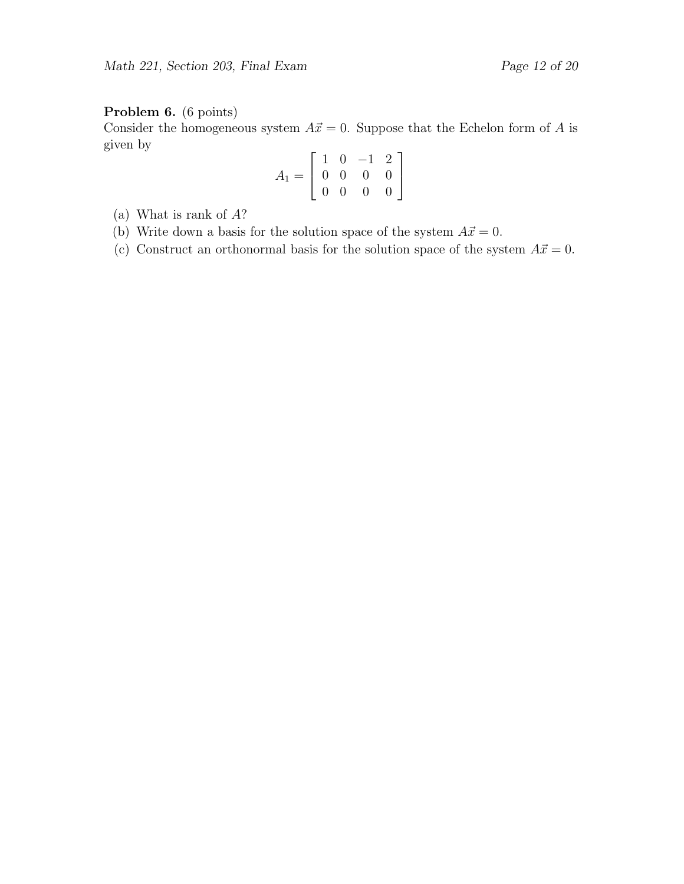### Problem 6. (6 points)

Consider the homogeneous system  $A\vec{x} = 0$ . Suppose that the Echelon form of A is given by

$$
A_1 = \left[ \begin{array}{rrr} 1 & 0 & -1 & 2 \\ 0 & 0 & 0 & 0 \\ 0 & 0 & 0 & 0 \end{array} \right]
$$

- (a) What is rank of A?
- (b) Write down a basis for the solution space of the system  $A\vec{x} = 0$ .
- (c) Construct an orthonormal basis for the solution space of the system  $A\vec{x} = 0$ .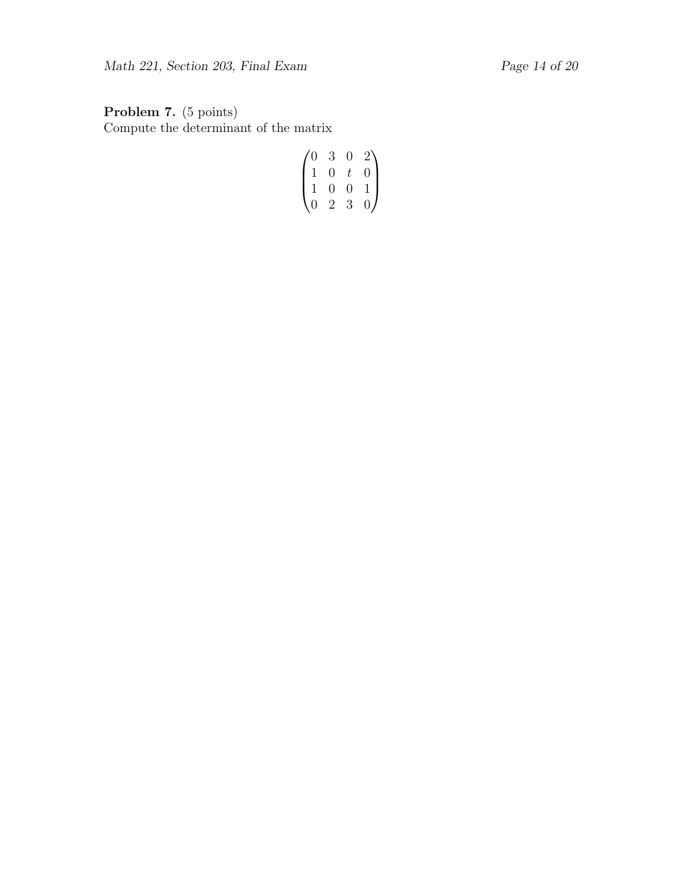### Problem 7. (5 points) Compute the determinant of the matrix

$$
\begin{pmatrix}\n0 & 3 & 0 & 2 \\
1 & 0 & t & 0 \\
1 & 0 & 0 & 1 \\
0 & 2 & 3 & 0\n\end{pmatrix}
$$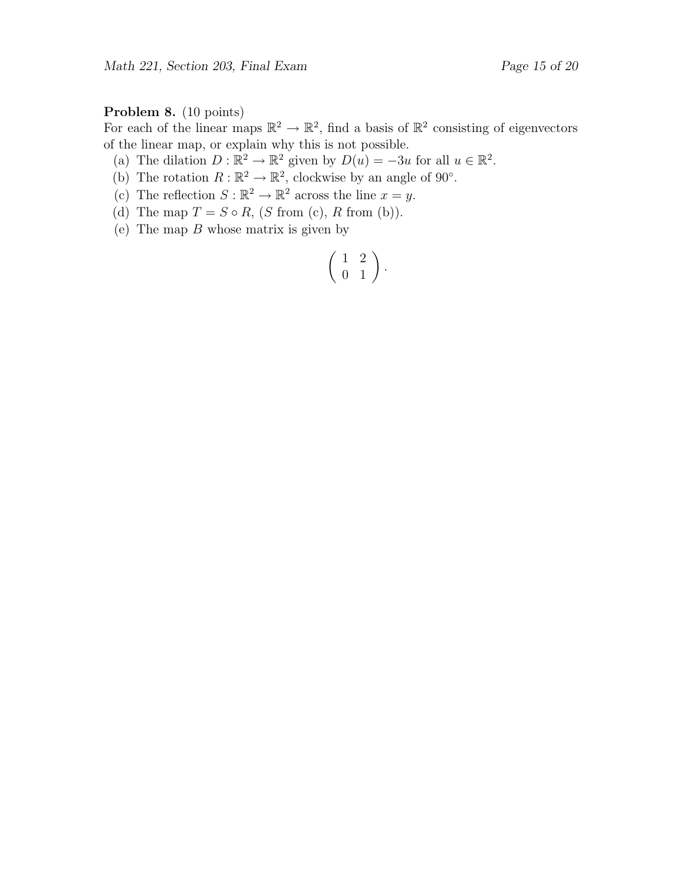### Problem 8. (10 points)

For each of the linear maps  $\mathbb{R}^2 \to \mathbb{R}^2$ , find a basis of  $\mathbb{R}^2$  consisting of eigenvectors of the linear map, or explain why this is not possible.

(a) The dilation  $D : \mathbb{R}^2 \to \mathbb{R}^2$  given by  $D(u) = -3u$  for all  $u \in \mathbb{R}^2$ .

- (b) The rotation  $R : \mathbb{R}^2 \to \mathbb{R}^2$ , clockwise by an angle of 90°.
- (c) The reflection  $S : \mathbb{R}^2 \to \mathbb{R}^2$  across the line  $x = y$ .
- (d) The map  $T = S \circ R$ ,  $(S \text{ from } (c), R \text{ from } (b)).$
- (e) The map  $B$  whose matrix is given by

$$
\left(\begin{array}{cc} 1 & 2 \\ 0 & 1 \end{array}\right).
$$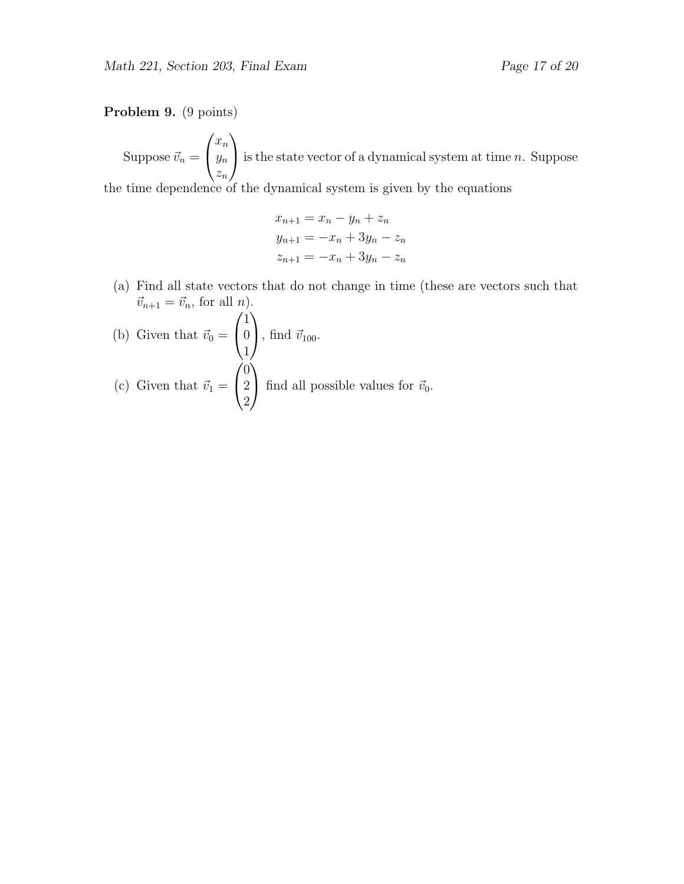#### Problem 9. (9 points)

Suppose  $\vec{v}_n =$  $\sqrt{ }$  $\mathcal{L}$  $\bar{x}_n$  $y_n$  $z_n$  $\setminus$ is the state vector of a dynamical system at time  $n$ . Suppose the time dependence of the dynamical system is given by the equations

$$
x_{n+1} = x_n - y_n + z_n
$$
  
\n
$$
y_{n+1} = -x_n + 3y_n - z_n
$$
  
\n
$$
z_{n+1} = -x_n + 3y_n - z_n
$$

(a) Find all state vectors that do not change in time (these are vectors such that  $\vec{v}_{n+1} = \vec{v}_n$ , for all *n*).

(b) Given that 
$$
\vec{v}_0 = \begin{pmatrix} 1 \\ 0 \\ 1 \end{pmatrix}
$$
, find  $\vec{v}_{100}$ .  
\n(c) Given that  $\vec{v}_1 = \begin{pmatrix} 0 \\ 2 \\ 2 \end{pmatrix}$  find all possible values for  $\vec{v}_0$ .